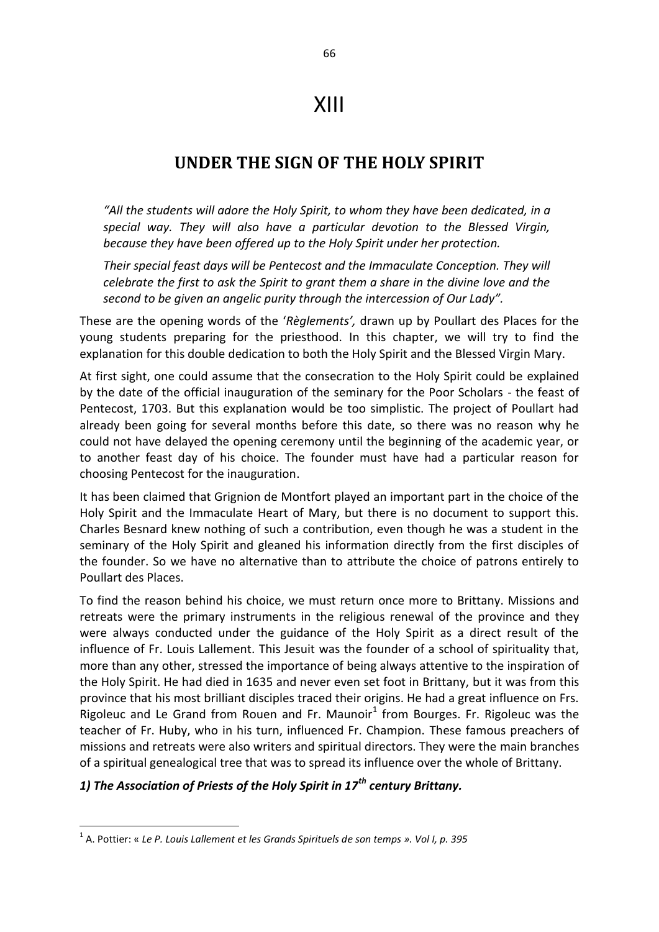# XIII

# **UNDER THE SIGN OF THE HOLY SPIRIT**

*"All the students will adore the Holy Spirit, to whom they have been dedicated, in a special way. They will also have a particular devotion to the Blessed Virgin, because they have been offered up to the Holy Spirit under her protection.* 

*Their special feast days will be Pentecost and the Immaculate Conception. They will celebrate the first to ask the Spirit to grant them a share in the divine love and the second to be given an angelic purity through the intercession of Our Lady".* 

These are the opening words of the '*Règlements',* drawn up by Poullart des Places for the young students preparing for the priesthood. In this chapter, we will try to find the explanation for this double dedication to both the Holy Spirit and the Blessed Virgin Mary.

At first sight, one could assume that the consecration to the Holy Spirit could be explained by the date of the official inauguration of the seminary for the Poor Scholars - the feast of Pentecost, 1703. But this explanation would be too simplistic. The project of Poullart had already been going for several months before this date, so there was no reason why he could not have delayed the opening ceremony until the beginning of the academic year, or to another feast day of his choice. The founder must have had a particular reason for choosing Pentecost for the inauguration.

It has been claimed that Grignion de Montfort played an important part in the choice of the Holy Spirit and the Immaculate Heart of Mary, but there is no document to support this. Charles Besnard knew nothing of such a contribution, even though he was a student in the seminary of the Holy Spirit and gleaned his information directly from the first disciples of the founder. So we have no alternative than to attribute the choice of patrons entirely to Poullart des Places.

To find the reason behind his choice, we must return once more to Brittany. Missions and retreats were the primary instruments in the religious renewal of the province and they were always conducted under the guidance of the Holy Spirit as a direct result of the influence of Fr. Louis Lallement. This Jesuit was the founder of a school of spirituality that, more than any other, stressed the importance of being always attentive to the inspiration of the Holy Spirit. He had died in 1635 and never even set foot in Brittany, but it was from this province that his most brilliant disciples traced their origins. He had a great influence on Frs. Rigoleuc and Le Grand from Rouen and Fr. Maunoir $<sup>1</sup>$  from Bourges. Fr. Rigoleuc was the</sup> teacher of Fr. Huby, who in his turn, influenced Fr. Champion. These famous preachers of missions and retreats were also writers and spiritual directors. They were the main branches of a spiritual genealogical tree that was to spread its influence over the whole of Brittany.

# *1) The Association of Priests of the Holy Spirit in 17th century Brittany.*

**.** 

<sup>1</sup> A. Pottier: « *Le P. Louis Lallement et les Grands Spirituels de son temps ». Vol I, p. 395*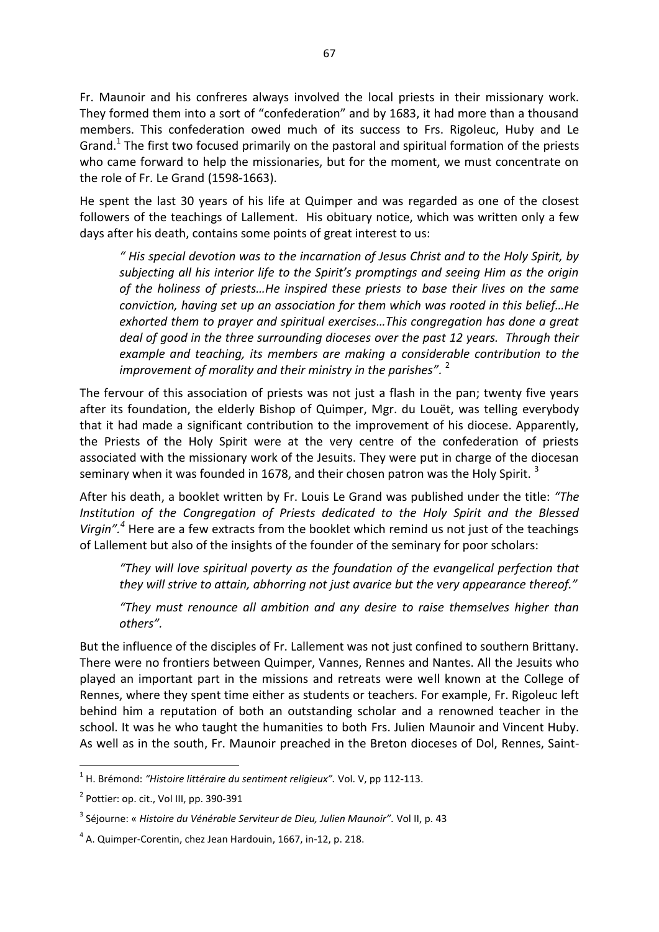Fr. Maunoir and his confreres always involved the local priests in their missionary work. They formed them into a sort of "confederation" and by 1683, it had more than a thousand members. This confederation owed much of its success to Frs. Rigoleuc, Huby and Le Grand.<sup>1</sup> The first two focused primarily on the pastoral and spiritual formation of the priests who came forward to help the missionaries, but for the moment, we must concentrate on the role of Fr. Le Grand (1598-1663).

He spent the last 30 years of his life at Quimper and was regarded as one of the closest followers of the teachings of Lallement. His obituary notice, which was written only a few days after his death, contains some points of great interest to us:

*" His special devotion was to the incarnation of Jesus Christ and to the Holy Spirit, by subjecting all his interior life to the Spirit's promptings and seeing Him as the origin of the holiness of priests…He inspired these priests to base their lives on the same conviction, having set up an association for them which was rooted in this belief…He exhorted them to prayer and spiritual exercises…This congregation has done a great deal of good in the three surrounding dioceses over the past 12 years. Through their example and teaching, its members are making a considerable contribution to the*  improvement of morality and their ministry in the parishes".<sup>2</sup>

The fervour of this association of priests was not just a flash in the pan; twenty five years after its foundation, the elderly Bishop of Quimper, Mgr. du Louët, was telling everybody that it had made a significant contribution to the improvement of his diocese. Apparently, the Priests of the Holy Spirit were at the very centre of the confederation of priests associated with the missionary work of the Jesuits. They were put in charge of the diocesan seminary when it was founded in 1678, and their chosen patron was the Holy Spirit.<sup>3</sup>

After his death, a booklet written by Fr. Louis Le Grand was published under the title: *"The Institution of the Congregation of Priests dedicated to the Holy Spirit and the Blessed Virgin".<sup>4</sup>* Here are a few extracts from the booklet which remind us not just of the teachings of Lallement but also of the insights of the founder of the seminary for poor scholars:

*"They will love spiritual poverty as the foundation of the evangelical perfection that they will strive to attain, abhorring not just avarice but the very appearance thereof."* 

*"They must renounce all ambition and any desire to raise themselves higher than others".* 

But the influence of the disciples of Fr. Lallement was not just confined to southern Brittany. There were no frontiers between Quimper, Vannes, Rennes and Nantes. All the Jesuits who played an important part in the missions and retreats were well known at the College of Rennes, where they spent time either as students or teachers. For example, Fr. Rigoleuc left behind him a reputation of both an outstanding scholar and a renowned teacher in the school. It was he who taught the humanities to both Frs. Julien Maunoir and Vincent Huby. As well as in the south, Fr. Maunoir preached in the Breton dioceses of Dol, Rennes, Saint-

**.** 

<sup>&</sup>lt;sup>1</sup> H. Brémond: "Histoire littéraire du sentiment religieux". Vol. V, pp 112-113.

 $2$  Pottier: op. cit., Vol III, pp. 390-391

<sup>3</sup> Séjourne: « *Histoire du Vénérable Serviteur de Dieu, Julien Maunoir".* Vol II, p. 43

 $<sup>4</sup>$  A. Quimper-Corentin, chez Jean Hardouin, 1667, in-12, p. 218.</sup>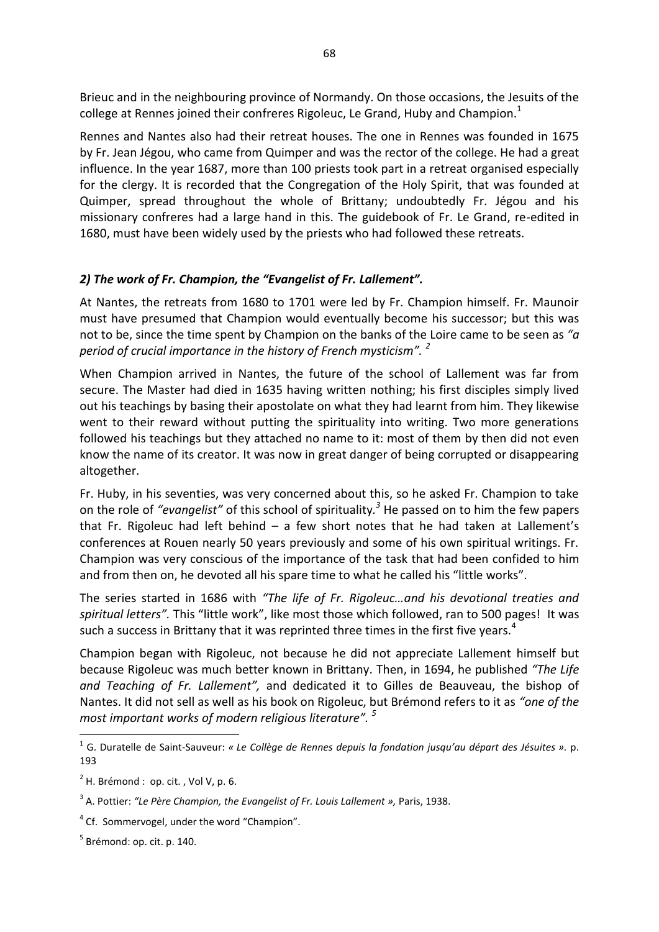Brieuc and in the neighbouring province of Normandy. On those occasions, the Jesuits of the college at Rennes joined their confreres Rigoleuc, Le Grand, Huby and Champion. $<sup>1</sup>$ </sup>

Rennes and Nantes also had their retreat houses. The one in Rennes was founded in 1675 by Fr. Jean Jégou, who came from Quimper and was the rector of the college. He had a great influence. In the year 1687, more than 100 priests took part in a retreat organised especially for the clergy. It is recorded that the Congregation of the Holy Spirit, that was founded at Quimper, spread throughout the whole of Brittany; undoubtedly Fr. Jégou and his missionary confreres had a large hand in this. The guidebook of Fr. Le Grand, re-edited in 1680, must have been widely used by the priests who had followed these retreats.

## *2) The work of Fr. Champion, the "Evangelist of Fr. Lallement".*

At Nantes, the retreats from 1680 to 1701 were led by Fr. Champion himself. Fr. Maunoir must have presumed that Champion would eventually become his successor; but this was not to be, since the time spent by Champion on the banks of the Loire came to be seen as *"a period of crucial importance in the history of French mysticism". <sup>2</sup>*

When Champion arrived in Nantes, the future of the school of Lallement was far from secure. The Master had died in 1635 having written nothing; his first disciples simply lived out his teachings by basing their apostolate on what they had learnt from him. They likewise went to their reward without putting the spirituality into writing. Two more generations followed his teachings but they attached no name to it: most of them by then did not even know the name of its creator. It was now in great danger of being corrupted or disappearing altogether.

Fr. Huby, in his seventies, was very concerned about this, so he asked Fr. Champion to take on the role of *"evangelist"* of this school of spirituality*. <sup>3</sup>* He passed on to him the few papers that Fr. Rigoleuc had left behind  $-$  a few short notes that he had taken at Lallement's conferences at Rouen nearly 50 years previously and some of his own spiritual writings. Fr. Champion was very conscious of the importance of the task that had been confided to him and from then on, he devoted all his spare time to what he called his "little works".

The series started in 1686 with *"The life of Fr. Rigoleuc…and his devotional treaties and spiritual letters".* This "little work", like most those which followed, ran to 500 pages! It was such a success in Brittany that it was reprinted three times in the first five years.<sup>4</sup>

Champion began with Rigoleuc, not because he did not appreciate Lallement himself but because Rigoleuc was much better known in Brittany. Then, in 1694, he published *"The Life and Teaching of Fr. Lallement",* and dedicated it to Gilles de Beauveau, the bishop of Nantes. It did not sell as well as his book on Rigoleuc, but Brémond refers to it as *"one of the most important works of modern religious literature". <sup>5</sup>*

1

<sup>1</sup> G. Duratelle de Saint-Sauveur: *« Le Collège de Rennes depuis la fondation jusqu'au départ des Jésuites ».* p. 193

 $2$  H. Brémond : op. cit., Vol V, p. 6.

<sup>3</sup> A. Pottier: *"Le Père Champion, the Evangelist of Fr. Louis Lallement »,* Paris, 1938.

<sup>&</sup>lt;sup>4</sup> Cf. Sommervogel, under the word "Champion".

<sup>&</sup>lt;sup>5</sup> Brémond: op. cit. p. 140.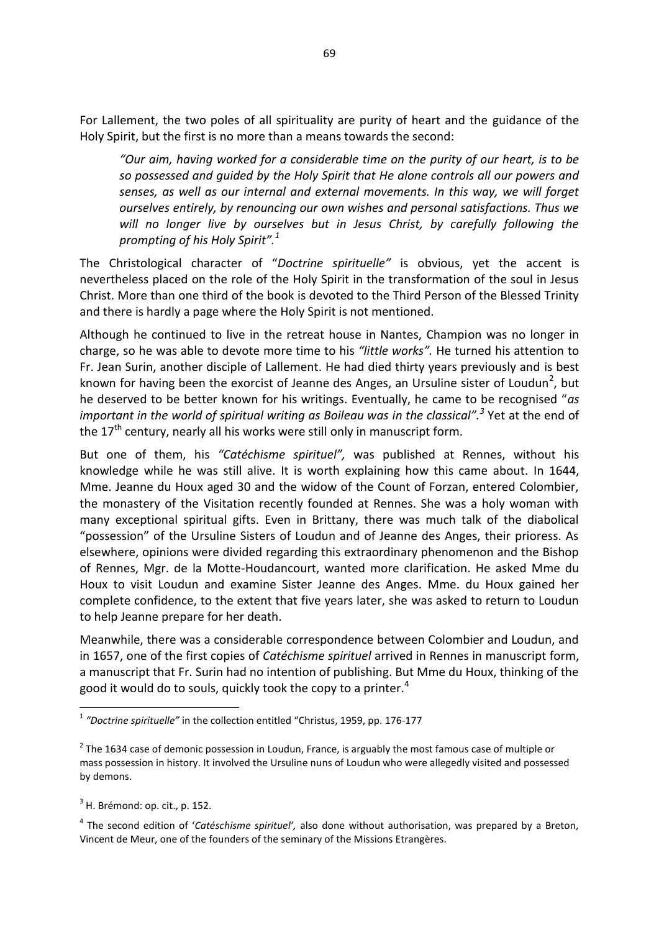For Lallement, the two poles of all spirituality are purity of heart and the guidance of the Holy Spirit, but the first is no more than a means towards the second:

*"Our aim, having worked for a considerable time on the purity of our heart, is to be so possessed and guided by the Holy Spirit that He alone controls all our powers and senses, as well as our internal and external movements. In this way, we will forget ourselves entirely, by renouncing our own wishes and personal satisfactions. Thus we will no longer live by ourselves but in Jesus Christ, by carefully following the prompting of his Holy Spirit".<sup>1</sup>*

The Christological character of "*Doctrine spirituelle"* is obvious, yet the accent is nevertheless placed on the role of the Holy Spirit in the transformation of the soul in Jesus Christ. More than one third of the book is devoted to the Third Person of the Blessed Trinity and there is hardly a page where the Holy Spirit is not mentioned.

Although he continued to live in the retreat house in Nantes, Champion was no longer in charge, so he was able to devote more time to his *"little works".* He turned his attention to Fr. Jean Surin, another disciple of Lallement. He had died thirty years previously and is best known for having been the exorcist of Jeanne des Anges, an Ursuline sister of Loudun<sup>2</sup>, but he deserved to be better known for his writings. Eventually, he came to be recognised "*as*  important in the world of spiritual writing as Boileau was in the classical".<sup>3</sup> Yet at the end of the  $17<sup>th</sup>$  century, nearly all his works were still only in manuscript form.

But one of them, his *"Catéchisme spirituel",* was published at Rennes, without his knowledge while he was still alive. It is worth explaining how this came about. In 1644, Mme. Jeanne du Houx aged 30 and the widow of the Count of Forzan, entered Colombier, the monastery of the Visitation recently founded at Rennes. She was a holy woman with many exceptional spiritual gifts. Even in Brittany, there was much talk of the diabolical "possession" of the Ursuline Sisters of Loudun and of Jeanne des Anges, their prioress. As elsewhere, opinions were divided regarding this extraordinary phenomenon and the Bishop of Rennes, Mgr. de la Motte-Houdancourt, wanted more clarification. He asked Mme du Houx to visit Loudun and examine Sister Jeanne des Anges. Mme. du Houx gained her complete confidence, to the extent that five years later, she was asked to return to Loudun to help Jeanne prepare for her death.

Meanwhile, there was a considerable correspondence between Colombier and Loudun, and in 1657, one of the first copies of *Catéchisme spirituel* arrived in Rennes in manuscript form, a manuscript that Fr. Surin had no intention of publishing. But Mme du Houx, thinking of the good it would do to souls, quickly took the copy to a printer.<sup>4</sup>

 $3$  H. Brémond: op. cit., p. 152.

**.** 

4 The second edition of '*Catéschisme spirituel',* also done without authorisation, was prepared by a Breton, Vincent de Meur, one of the founders of the seminary of the Missions Etrangères.

<sup>1</sup> *"Doctrine spirituelle"* in the collection entitled "Christus, 1959, pp. 176-177

 $2$  The 1634 case of demonic possession in [Loudun,](http://en.wikipedia.org/wiki/Loudun) [France,](http://en.wikipedia.org/wiki/France) is arguably the most famous case of multiple or mass [possession](http://en.wikipedia.org/wiki/Demonic_possession) in history. It involved th[e Ursuline n](http://en.wikipedia.org/wiki/Ursuline)uns of Loudun who were allegedly visited and possessed by demons.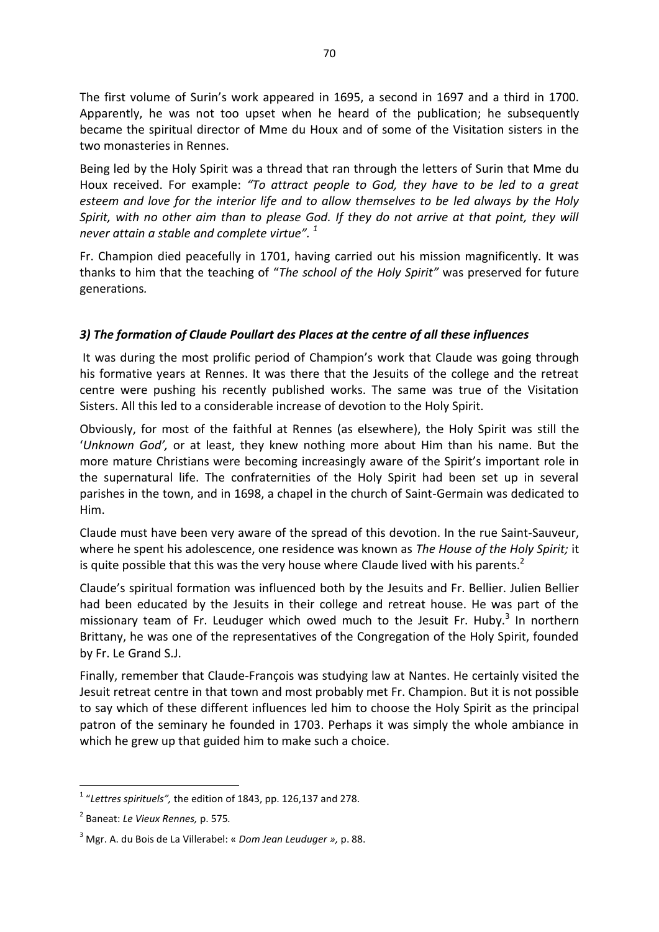The first volume of Surin's work appeared in 1695, a second in 1697 and a third in 1700. Apparently, he was not too upset when he heard of the publication; he subsequently became the spiritual director of Mme du Houx and of some of the Visitation sisters in the two monasteries in Rennes.

Being led by the Holy Spirit was a thread that ran through the letters of Surin that Mme du Houx received. For example: *"To attract people to God, they have to be led to a great esteem and love for the interior life and to allow themselves to be led always by the Holy Spirit, with no other aim than to please God. If they do not arrive at that point, they will never attain a stable and complete virtue". <sup>1</sup>*

Fr. Champion died peacefully in 1701, having carried out his mission magnificently. It was thanks to him that the teaching of "*The school of the Holy Spirit"* was preserved for future generations*.* 

# *3) The formation of Claude Poullart des Places at the centre of all these influences*

It was during the most prolific period of Champion's work that Claude was going through his formative years at Rennes. It was there that the Jesuits of the college and the retreat centre were pushing his recently published works. The same was true of the Visitation Sisters. All this led to a considerable increase of devotion to the Holy Spirit.

Obviously, for most of the faithful at Rennes (as elsewhere), the Holy Spirit was still the '*Unknown God',* or at least, they knew nothing more about Him than his name. But the more mature Christians were becoming increasingly aware of the Spirit's important role in the supernatural life. The confraternities of the Holy Spirit had been set up in several parishes in the town, and in 1698, a chapel in the church of Saint-Germain was dedicated to Him.

Claude must have been very aware of the spread of this devotion. In the rue Saint-Sauveur, where he spent his adolescence, one residence was known as *The House of the Holy Spirit;* it is quite possible that this was the very house where Claude lived with his parents.<sup>2</sup>

Claude's spiritual formation was influenced both by the Jesuits and Fr. Bellier. Julien Bellier had been educated by the Jesuits in their college and retreat house. He was part of the missionary team of Fr. Leuduger which owed much to the Jesuit Fr. Huby.<sup>3</sup> In northern Brittany, he was one of the representatives of the Congregation of the Holy Spirit, founded by Fr. Le Grand S.J.

Finally, remember that Claude-François was studying law at Nantes. He certainly visited the Jesuit retreat centre in that town and most probably met Fr. Champion. But it is not possible to say which of these different influences led him to choose the Holy Spirit as the principal patron of the seminary he founded in 1703. Perhaps it was simply the whole ambiance in which he grew up that guided him to make such a choice.

 1 "*Lettres spirituels",* the edition of 1843, pp. 126,137 and 278.

<sup>2</sup> Baneat: *Le Vieux Rennes,* p. 575*.*

<sup>3</sup> Mgr. A. du Bois de La Villerabel: « *Dom Jean Leuduger »,* p. 88.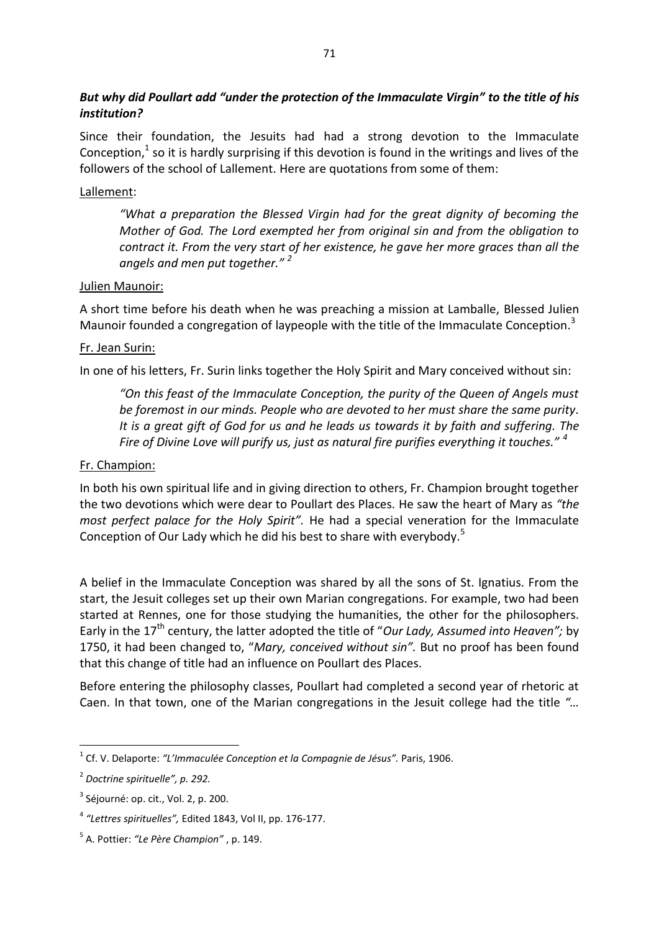# *But why did Poullart add "under the protection of the Immaculate Virgin" to the title of his institution?*

Since their foundation, the Jesuits had had a strong devotion to the Immaculate Conception, $1$  so it is hardly surprising if this devotion is found in the writings and lives of the followers of the school of Lallement. Here are quotations from some of them:

### Lallement:

*"What a preparation the Blessed Virgin had for the great dignity of becoming the Mother of God. The Lord exempted her from original sin and from the obligation to contract it. From the very start of her existence, he gave her more graces than all the angels and men put together." <sup>2</sup>*

#### Julien Maunoir:

A short time before his death when he was preaching a mission at Lamballe, Blessed Julien Maunoir founded a congregation of laypeople with the title of the Immaculate Conception.<sup>3</sup>

#### Fr. Jean Surin:

In one of his letters, Fr. Surin links together the Holy Spirit and Mary conceived without sin:

*"On this feast of the Immaculate Conception, the purity of the Queen of Angels must be foremost in our minds. People who are devoted to her must share the same purity. It is a great gift of God for us and he leads us towards it by faith and suffering. The Fire of Divine Love will purify us, just as natural fire purifies everything it touches." <sup>4</sup>*

#### Fr. Champion:

In both his own spiritual life and in giving direction to others, Fr. Champion brought together the two devotions which were dear to Poullart des Places. He saw the heart of Mary as *"the most perfect palace for the Holy Spirit".* He had a special veneration for the Immaculate Conception of Our Lady which he did his best to share with everybody.<sup>5</sup>

A belief in the Immaculate Conception was shared by all the sons of St. Ignatius. From the start, the Jesuit colleges set up their own Marian congregations. For example, two had been started at Rennes, one for those studying the humanities, the other for the philosophers. Early in the 17<sup>th</sup> century, the latter adopted the title of "Our Lady, Assumed into Heaven"; by 1750, it had been changed to, "*Mary, conceived without sin".* But no proof has been found that this change of title had an influence on Poullart des Places.

Before entering the philosophy classes, Poullart had completed a second year of rhetoric at Caen. In that town, one of the Marian congregations in the Jesuit college had the title *"…* 

1

<sup>1</sup> Cf. V. Delaporte: *"L'Immaculée Conception et la Compagnie de Jésus".* Paris, 1906.

<sup>2</sup> *Doctrine spirituelle", p. 292.* 

 $3$  Séjourné: op. cit., Vol. 2, p. 200.

<sup>4</sup> *"Lettres spirituelles",* Edited 1843, Vol II, pp. 176-177.

<sup>5</sup> A. Pottier: *"Le Père Champion"* , p. 149.